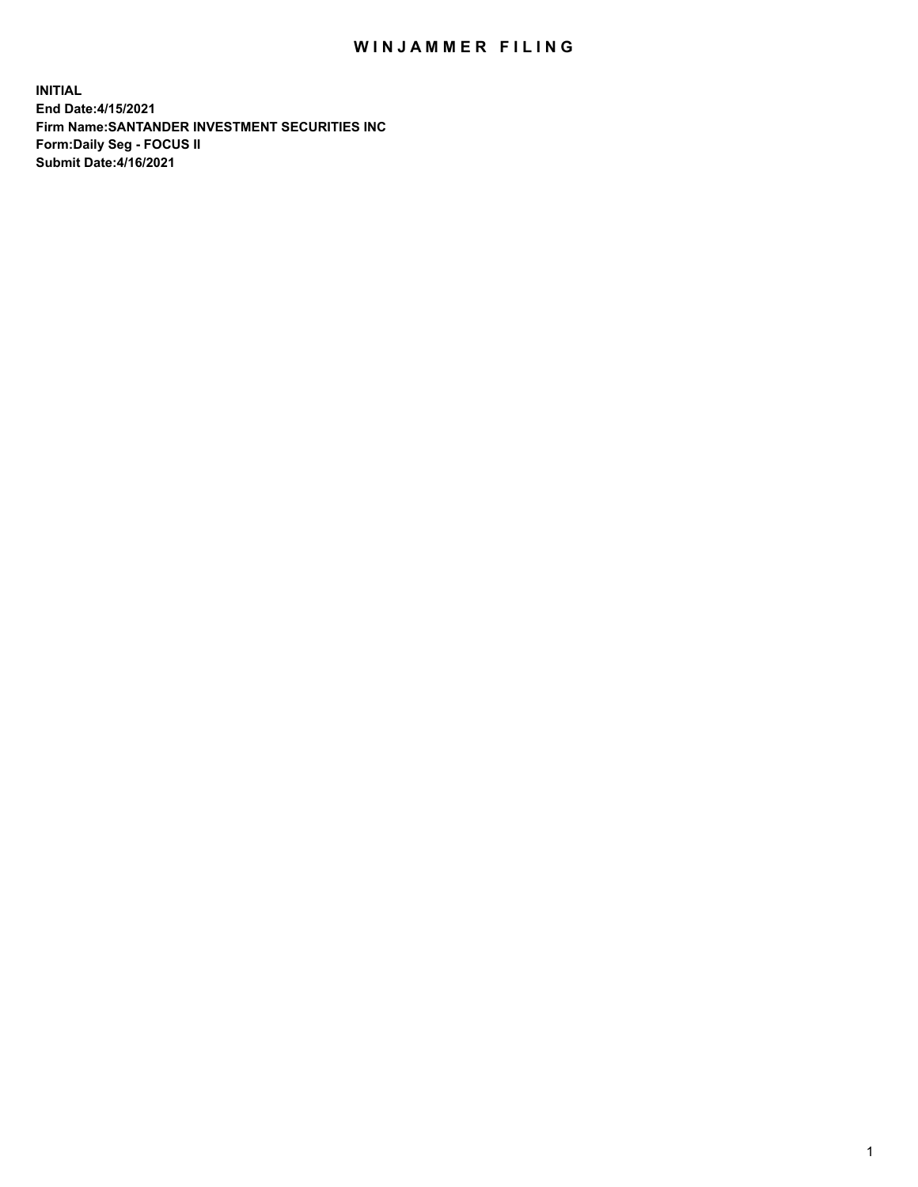## WIN JAMMER FILING

**INITIAL End Date:4/15/2021 Firm Name:SANTANDER INVESTMENT SECURITIES INC Form:Daily Seg - FOCUS II Submit Date:4/16/2021**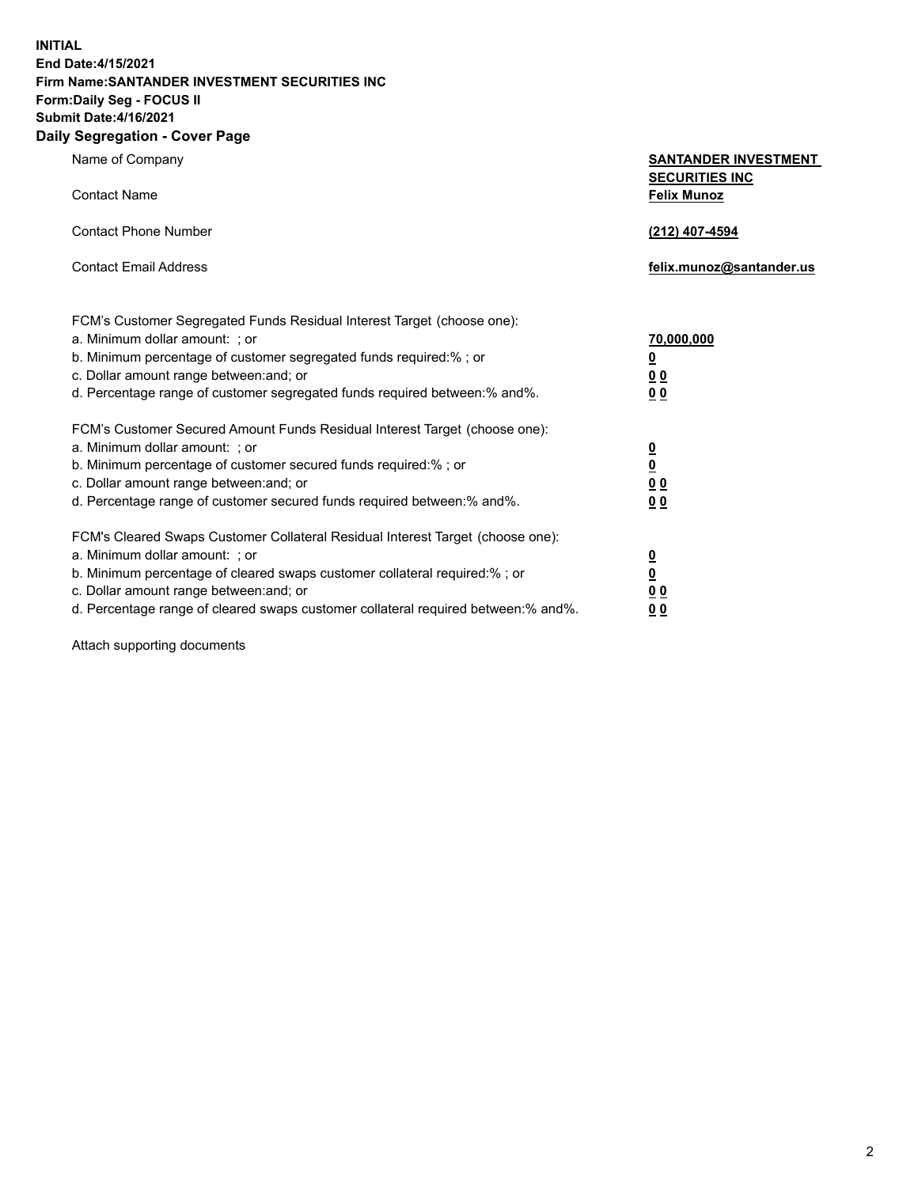**INITIAL End Date:4/15/2021 Firm Name:SANTANDER INVESTMENT SECURITIES INC Form:Daily Seg - FOCUS II Submit Date:4/16/2021 Daily Segregation - Cover Page**

| Name of Company                                                                   | <b>SANTANDER INVESTMENT</b><br><b>SECURITIES INC</b> |
|-----------------------------------------------------------------------------------|------------------------------------------------------|
| <b>Contact Name</b>                                                               | <b>Felix Munoz</b>                                   |
| <b>Contact Phone Number</b>                                                       | (212) 407-4594                                       |
| <b>Contact Email Address</b>                                                      | felix.munoz@santander.us                             |
| FCM's Customer Segregated Funds Residual Interest Target (choose one):            |                                                      |
| a. Minimum dollar amount: ; or                                                    | 70,000,000                                           |
| b. Minimum percentage of customer segregated funds required:%; or                 | <u>0</u>                                             |
| c. Dollar amount range between: and; or                                           | 0 <sub>0</sub>                                       |
| d. Percentage range of customer segregated funds required between:% and%.         | 0 <sub>0</sub>                                       |
| FCM's Customer Secured Amount Funds Residual Interest Target (choose one):        |                                                      |
| a. Minimum dollar amount: ; or                                                    | $\frac{0}{0}$                                        |
| b. Minimum percentage of customer secured funds required:%; or                    |                                                      |
| c. Dollar amount range between: and; or                                           | 0 <sub>0</sub>                                       |
| d. Percentage range of customer secured funds required between:% and%.            | 0 <sub>0</sub>                                       |
| FCM's Cleared Swaps Customer Collateral Residual Interest Target (choose one):    |                                                      |
| a. Minimum dollar amount: ; or                                                    | $\overline{\mathbf{0}}$                              |
| b. Minimum percentage of cleared swaps customer collateral required:% ; or        | $\underline{\mathbf{0}}$                             |
| c. Dollar amount range between: and; or                                           | 0 <sub>0</sub>                                       |
| d. Percentage range of cleared swaps customer collateral required between:% and%. | <u>00</u>                                            |

Attach supporting documents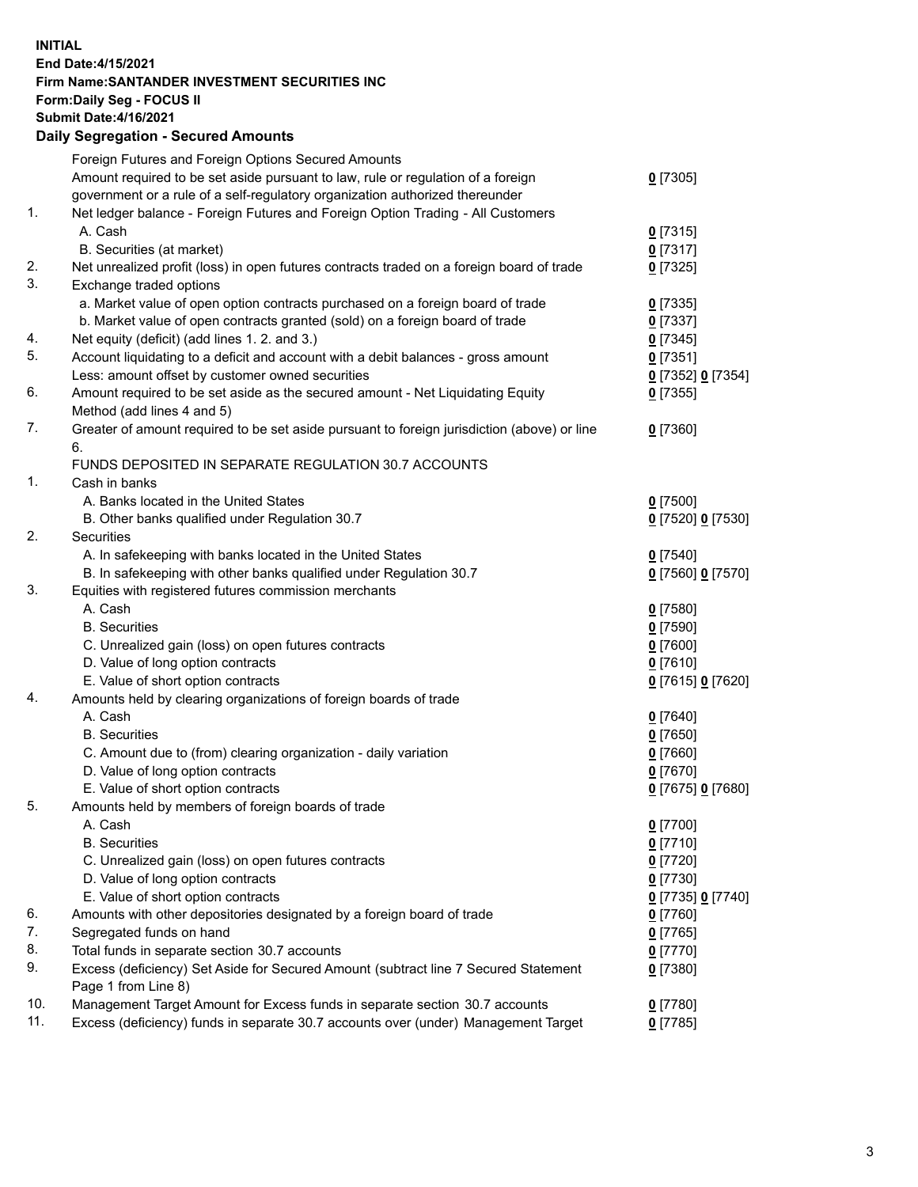**INITIAL End Date:4/15/2021 Firm Name:SANTANDER INVESTMENT SECURITIES INC Form:Daily Seg - FOCUS II Submit Date:4/16/2021 Daily Segregation - Secured Amounts**

|     | Foreign Futures and Foreign Options Secured Amounts                                         |                   |
|-----|---------------------------------------------------------------------------------------------|-------------------|
|     | Amount required to be set aside pursuant to law, rule or regulation of a foreign            | $0$ [7305]        |
|     | government or a rule of a self-regulatory organization authorized thereunder                |                   |
| 1.  | Net ledger balance - Foreign Futures and Foreign Option Trading - All Customers             |                   |
|     | A. Cash                                                                                     | $0$ [7315]        |
|     | B. Securities (at market)                                                                   | $0$ [7317]        |
| 2.  | Net unrealized profit (loss) in open futures contracts traded on a foreign board of trade   | $0$ [7325]        |
| 3.  | Exchange traded options                                                                     |                   |
|     | a. Market value of open option contracts purchased on a foreign board of trade              | $0$ [7335]        |
|     | b. Market value of open contracts granted (sold) on a foreign board of trade                | $0$ [7337]        |
| 4.  | Net equity (deficit) (add lines 1. 2. and 3.)                                               | $0$ [7345]        |
| 5.  | Account liquidating to a deficit and account with a debit balances - gross amount           | $0$ [7351]        |
|     | Less: amount offset by customer owned securities                                            | 0 [7352] 0 [7354] |
| 6.  | Amount required to be set aside as the secured amount - Net Liquidating Equity              | $0$ [7355]        |
|     | Method (add lines 4 and 5)                                                                  |                   |
| 7.  | Greater of amount required to be set aside pursuant to foreign jurisdiction (above) or line | $0$ [7360]        |
|     | 6.                                                                                          |                   |
|     | FUNDS DEPOSITED IN SEPARATE REGULATION 30.7 ACCOUNTS                                        |                   |
| 1.  | Cash in banks                                                                               |                   |
|     | A. Banks located in the United States                                                       | $0$ [7500]        |
|     | B. Other banks qualified under Regulation 30.7                                              | 0 [7520] 0 [7530] |
| 2.  | <b>Securities</b>                                                                           |                   |
|     | A. In safekeeping with banks located in the United States                                   | $0$ [7540]        |
|     | B. In safekeeping with other banks qualified under Regulation 30.7                          | 0 [7560] 0 [7570] |
| 3.  | Equities with registered futures commission merchants                                       |                   |
|     | A. Cash                                                                                     | $0$ [7580]        |
|     | <b>B.</b> Securities                                                                        | $0$ [7590]        |
|     | C. Unrealized gain (loss) on open futures contracts                                         | $0$ [7600]        |
|     | D. Value of long option contracts                                                           | $0$ [7610]        |
|     | E. Value of short option contracts                                                          | 0 [7615] 0 [7620] |
| 4.  | Amounts held by clearing organizations of foreign boards of trade                           |                   |
|     | A. Cash                                                                                     | $0$ [7640]        |
|     | <b>B.</b> Securities                                                                        | $0$ [7650]        |
|     | C. Amount due to (from) clearing organization - daily variation                             | $0$ [7660]        |
|     | D. Value of long option contracts                                                           | $0$ [7670]        |
|     | E. Value of short option contracts                                                          | 0 [7675] 0 [7680] |
| 5.  | Amounts held by members of foreign boards of trade                                          |                   |
|     | A. Cash                                                                                     | 0 [7700]          |
|     | <b>B.</b> Securities                                                                        | $0$ [7710]        |
|     | C. Unrealized gain (loss) on open futures contracts                                         | $0$ [7720]        |
|     | D. Value of long option contracts                                                           | $0$ [7730]        |
|     | E. Value of short option contracts                                                          | 0 [7735] 0 [7740] |
| 6.  | Amounts with other depositories designated by a foreign board of trade                      | $0$ [7760]        |
| 7.  | Segregated funds on hand                                                                    | $0$ [7765]        |
| 8.  | Total funds in separate section 30.7 accounts                                               | $0$ [7770]        |
| 9.  | Excess (deficiency) Set Aside for Secured Amount (subtract line 7 Secured Statement         | $0$ [7380]        |
|     | Page 1 from Line 8)                                                                         |                   |
| 10. | Management Target Amount for Excess funds in separate section 30.7 accounts                 | $0$ [7780]        |
| 11. | Excess (deficiency) funds in separate 30.7 accounts over (under) Management Target          | $0$ [7785]        |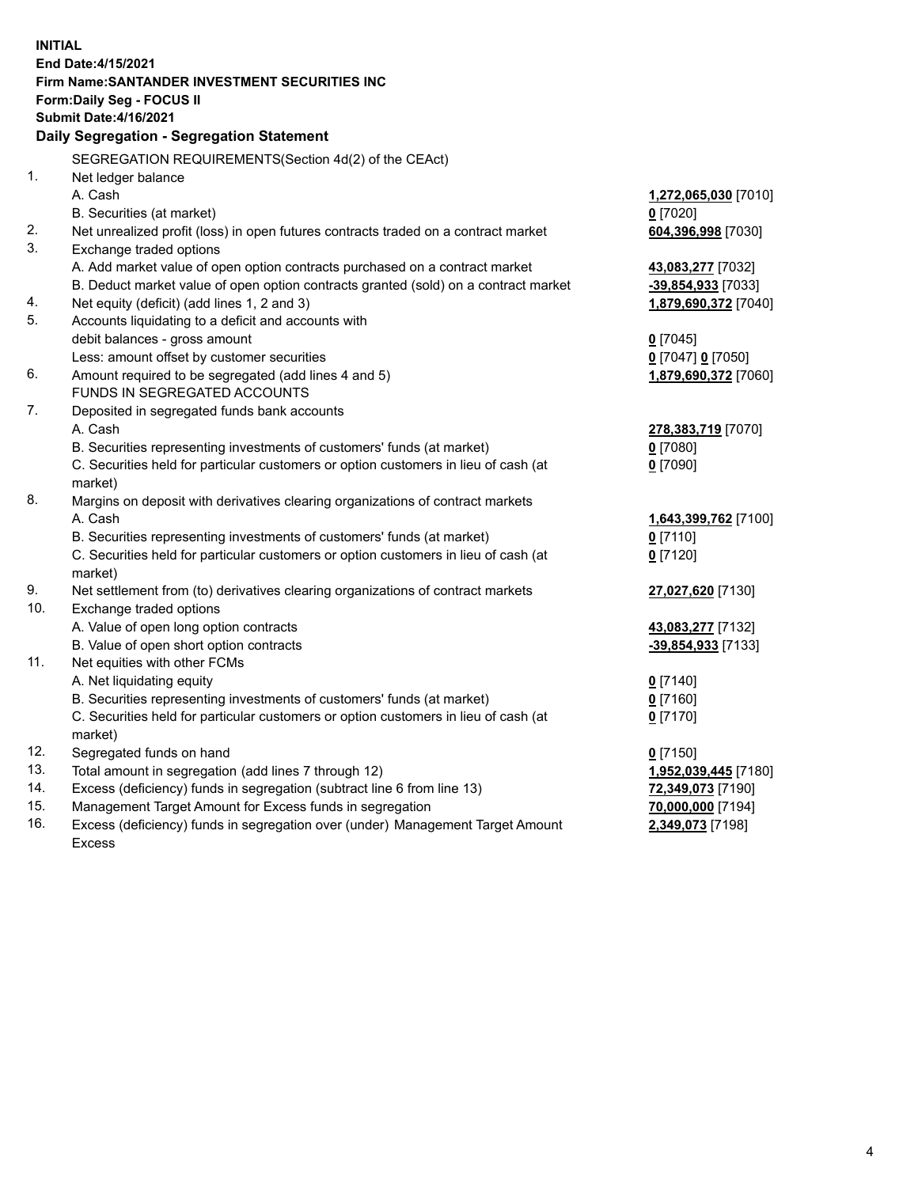| <b>INITIAL</b> |                                                                                                            |                       |  |  |  |  |
|----------------|------------------------------------------------------------------------------------------------------------|-----------------------|--|--|--|--|
|                | End Date: 4/15/2021                                                                                        |                       |  |  |  |  |
|                | Firm Name: SANTANDER INVESTMENT SECURITIES INC                                                             |                       |  |  |  |  |
|                | Form: Daily Seg - FOCUS II                                                                                 |                       |  |  |  |  |
|                | <b>Submit Date: 4/16/2021</b>                                                                              |                       |  |  |  |  |
|                | Daily Segregation - Segregation Statement                                                                  |                       |  |  |  |  |
|                | SEGREGATION REQUIREMENTS(Section 4d(2) of the CEAct)                                                       |                       |  |  |  |  |
| 1.             | Net ledger balance                                                                                         |                       |  |  |  |  |
|                | A. Cash                                                                                                    | 1,272,065,030 [7010]  |  |  |  |  |
|                | B. Securities (at market)                                                                                  | $0$ [7020]            |  |  |  |  |
| 2.             | Net unrealized profit (loss) in open futures contracts traded on a contract market                         | 604,396,998 [7030]    |  |  |  |  |
| 3.             | Exchange traded options                                                                                    |                       |  |  |  |  |
|                | A. Add market value of open option contracts purchased on a contract market                                | 43,083,277 [7032]     |  |  |  |  |
|                | B. Deduct market value of open option contracts granted (sold) on a contract market                        | -39,854,933 [7033]    |  |  |  |  |
| 4.             | Net equity (deficit) (add lines 1, 2 and 3)                                                                | 1,879,690,372 [7040]  |  |  |  |  |
| 5.             | Accounts liquidating to a deficit and accounts with                                                        |                       |  |  |  |  |
|                | debit balances - gross amount                                                                              | $0$ [7045]            |  |  |  |  |
|                | Less: amount offset by customer securities                                                                 | $0$ [7047] $0$ [7050] |  |  |  |  |
| 6.             | Amount required to be segregated (add lines 4 and 5)                                                       | 1,879,690,372 [7060]  |  |  |  |  |
|                | FUNDS IN SEGREGATED ACCOUNTS                                                                               |                       |  |  |  |  |
| 7.             | Deposited in segregated funds bank accounts                                                                |                       |  |  |  |  |
|                | A. Cash                                                                                                    | 278,383,719 [7070]    |  |  |  |  |
|                | B. Securities representing investments of customers' funds (at market)                                     | $0$ [7080]            |  |  |  |  |
|                | C. Securities held for particular customers or option customers in lieu of cash (at                        | $0$ [7090]            |  |  |  |  |
|                | market)                                                                                                    |                       |  |  |  |  |
| 8.             | Margins on deposit with derivatives clearing organizations of contract markets                             |                       |  |  |  |  |
|                | A. Cash                                                                                                    | 1,643,399,762 [7100]  |  |  |  |  |
|                | B. Securities representing investments of customers' funds (at market)                                     | $0$ [7110]            |  |  |  |  |
|                | C. Securities held for particular customers or option customers in lieu of cash (at                        | $0$ [7120]            |  |  |  |  |
| 9.             | market)                                                                                                    |                       |  |  |  |  |
| 10.            | Net settlement from (to) derivatives clearing organizations of contract markets<br>Exchange traded options | 27,027,620 [7130]     |  |  |  |  |
|                | A. Value of open long option contracts                                                                     | 43,083,277 [7132]     |  |  |  |  |
|                | B. Value of open short option contracts                                                                    | -39,854,933 [7133]    |  |  |  |  |
| 11.            | Net equities with other FCMs                                                                               |                       |  |  |  |  |
|                | A. Net liquidating equity                                                                                  | $0$ [7140]            |  |  |  |  |
|                | B. Securities representing investments of customers' funds (at market)                                     | $0$ [7160]            |  |  |  |  |
|                | C. Securities held for particular customers or option customers in lieu of cash (at                        | $0$ [7170]            |  |  |  |  |
|                | market)                                                                                                    |                       |  |  |  |  |
| 12.            | Segregated funds on hand                                                                                   | $0$ [7150]            |  |  |  |  |
| 13.            | Total amount in segregation (add lines 7 through 12)                                                       | 1,952,039,445 [7180]  |  |  |  |  |
| 14.            | Excess (deficiency) funds in segregation (subtract line 6 from line 13)                                    | 72,349,073 [7190]     |  |  |  |  |
| 15.            | Management Target Amount for Excess funds in segregation                                                   | 70,000,000 [7194]     |  |  |  |  |
| 16.            | Excess (deficiency) funds in segregation over (under) Management Target Amount                             | 2,349,073 [7198]      |  |  |  |  |
|                | <b>Excess</b>                                                                                              |                       |  |  |  |  |